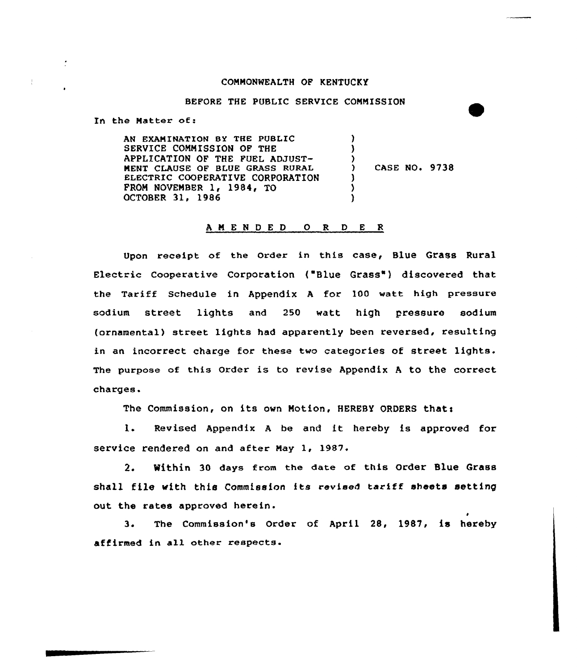#### CONNONNEALTH OF KENTUCKY

### BEFORE THE PUBLIC SERVICE CONNISSION

In the Natter of:

AN EXANINATION BY THE PUBLIC SERVICE CONNISSION OF THE APPLICATION OF THE FUEL ADJUST-NENT CLAUSE OF BLUE GRASS RURAL ELECTRIC COOPERATIVE CORPORATION FROM NOVEMBER  $1, 1984, 0$ OCTOBER 31, 1986 ) )  $\left\{ \right\}$ ) CASE NO» 9738 ) ) )

### <sup>A</sup> <sup>N</sup> E <sup>N</sup> <sup>D</sup> E <sup>D</sup> 0 R <sup>D</sup> E <sup>R</sup>

Upon receipt of the Order in this case, Blue Grass Rural Electric Cooperative Corporation ("Blue Grass") discovered that the Tariff Schedule in Appendix <sup>A</sup> for 100 watt high pressure sodium street lights and 250 watt high pressure sodium (ornamental) street lights had apparently been reversed, resulting in an incorrect charge for these two categories of street lights. The purpose of this Order is to revise Appendix <sup>A</sup> to the correct charges.

The Commission, on its own Motion, HEREBY ORDERS that:

I. Revised Appendix <sup>A</sup> be and it hereby is approved for service rendered on and after May 1, 1987.

2. Within 30 days from the date of this Order Blue Grass shall file with this Commission its revised tariff sheets setting out the rates approved herein.

3. The Commission's Order of April 28, 1987, is hereby affirmed in all other respects.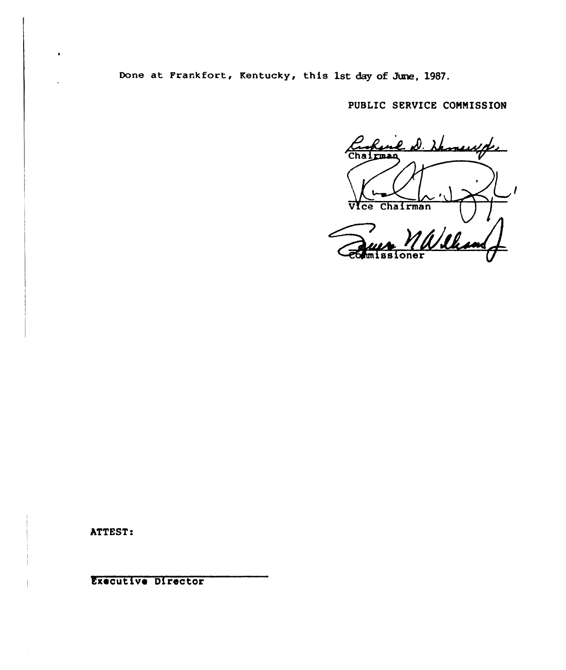Done at Frankfort, Kentucky, this 1st day of June, 1987.

PUBLIC SERVICE CONNISSION

<u>e D. Hemeuxpe</u> rman Vice Chairman William  $overline{over}$ 

ATTEST:

Executive Director